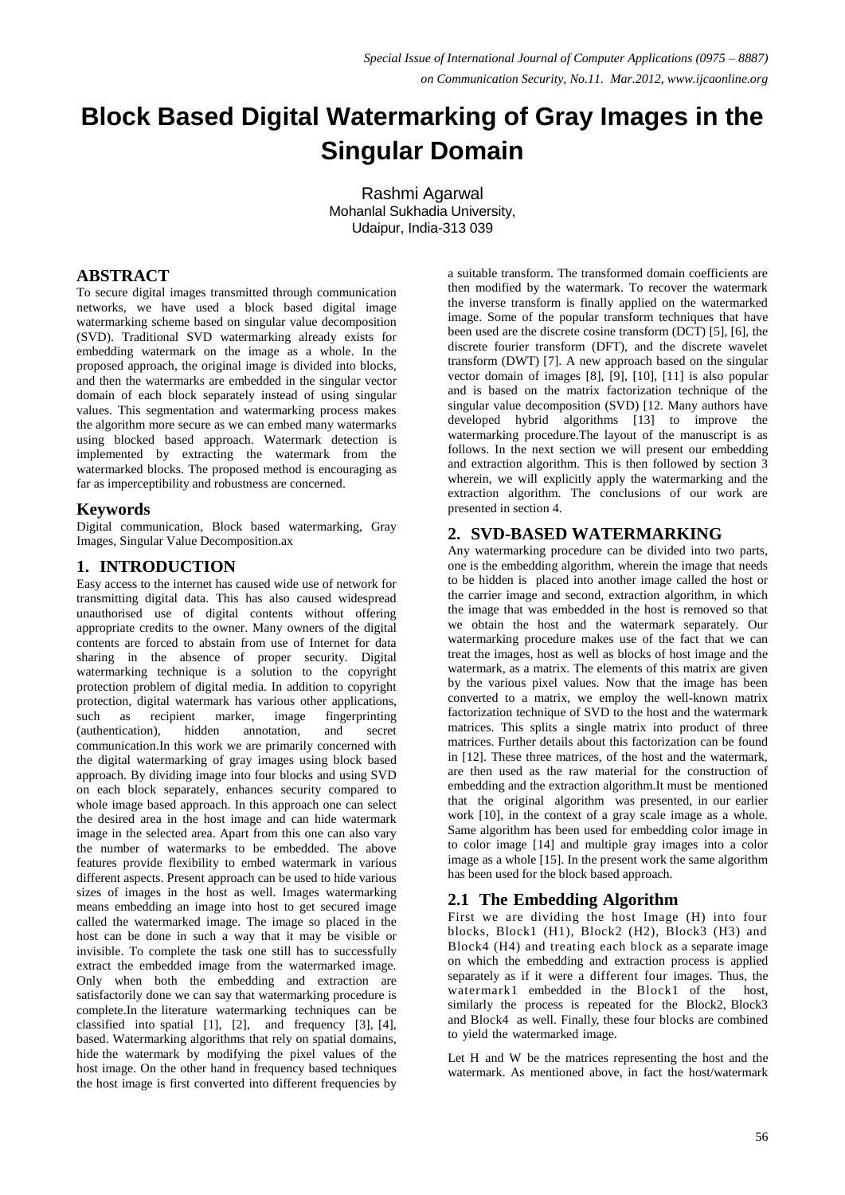# **Block Based Digital Watermarking of Gray Images in the Singular Domain**

Rashmi Agarwal Mohanlal Sukhadia University, Udaipur, India-313 039

# **ABSTRACT**

To secure digital images transmitted through communication networks, we have used a block based digital image watermarking scheme based on singular value decomposition (SVD). Traditional SVD watermarking already exists for embedding watermark on the image as a whole. In the proposed approach, the original image is divided into blocks, and then the watermarks are embedded in the singular vector domain of each block separately instead of using singular values. This segmentation and watermarking process makes the algorithm more secure as we can embed many watermarks using blocked based approach. Watermark detection is implemented by extracting the watermark from the watermarked blocks. The proposed method is encouraging as far as imperceptibility and robustness are concerned.

# **Keywords**

Digital communication, Block based watermarking, Gray Images, Singular Value Decomposition.ax

# **1. INTRODUCTION**

Easy access to the internet has caused wide use of network for transmitting digital data. This has also caused widespread unauthorised use of digital contents without offering appropriate credits to the owner. Many owners of the digital contents are forced to abstain from use of Internet for data sharing in the absence of proper security. Digital watermarking technique is a solution to the copyright protection problem of digital media. In addition to copyright protection, digital watermark has various other applications, such as recipient marker, image fingerprinting (authentication), hidden annotation, and secret communication.In this work we are primarily concerned with the digital watermarking of gray images using block based approach. By dividing image into four blocks and using SVD on each block separately, enhances security compared to whole image based approach. In this approach one can select the desired area in the host image and can hide watermark image in the selected area. Apart from this one can also vary the number of watermarks to be embedded. The above features provide flexibility to embed watermark in various different aspects. Present approach can be used to hide various sizes of images in the host as well. Images watermarking means embedding an image into host to get secured image called the watermarked image. The image so placed in the host can be done in such a way that it may be visible or invisible. To complete the task one still has to successfully extract the embedded image from the watermarked image. Only when both the embedding and extraction are satisfactorily done we can say that watermarking procedure is complete.In the literature watermarking techniques can be classified into spatial [1], [2], and frequency [3], [4], based. Watermarking algorithms that rely on spatial domains, hide the watermark by modifying the pixel values of the host image. On the other hand in frequency based techniques the host image is first converted into different frequencies by

a suitable transform. The transformed domain coefficients are then modified by the watermark. To recover the watermark the inverse transform is finally applied on the watermarked image. Some of the popular transform techniques that have been used are the discrete cosine transform (DCT) [5], [6], the discrete fourier transform (DFT), and the discrete wavelet transform (DWT) [7]. A new approach based on the singular vector domain of images [8], [9], [10], [11] is also popular and is based on the matrix factorization technique of the singular value decomposition (SVD) [12. Many authors have developed hybrid algorithms [13] to improve the watermarking procedure.The layout of the manuscript is as follows. In the next section we will present our embedding and extraction algorithm. This is then followed by section 3 wherein, we will explicitly apply the watermarking and the extraction algorithm. The conclusions of our work are presented in section 4.

# **2. SVD-BASED WATERMARKING**

Any watermarking procedure can be divided into two parts, one is the embedding algorithm, wherein the image that needs to be hidden is placed into another image called the host or the carrier image and second, extraction algorithm, in which the image that was embedded in the host is removed so that we obtain the host and the watermark separately. Our watermarking procedure makes use of the fact that we can treat the images, host as well as blocks of host image and the watermark, as a matrix. The elements of this matrix are given by the various pixel values. Now that the image has been converted to a matrix, we employ the well-known matrix factorization technique of SVD to the host and the watermark matrices. This splits a single matrix into product of three matrices. Further details about this factorization can be found in [12]. These three matrices, of the host and the watermark, are then used as the raw material for the construction of embedding and the extraction algorithm.It must be mentioned that the original algorithm was presented, in our earlier work [10], in the context of a gray scale image as a whole. Same algorithm has been used for embedding color image in to color image [14] and multiple gray images into a color image as a whole [15]. In the present work the same algorithm has been used for the block based approach.

## **2.1 The Embedding Algorithm**

First we are dividing the host Image (H) into four blocks, Block1 (H1), Block2 (H2), Block3 (H3) and Block4 (H4) and treating each block as a separate image on which the embedding and extraction process is applied separately as if it were a different four images. Thus, the watermark1 embedded in the Block1 of the host, similarly the process is repeated for the Block2, Block3 and Block4 as well. Finally, these four blocks are combined to yield the watermarked image.

Let H and W be the matrices representing the host and the watermark. As mentioned above, in fact the host/watermark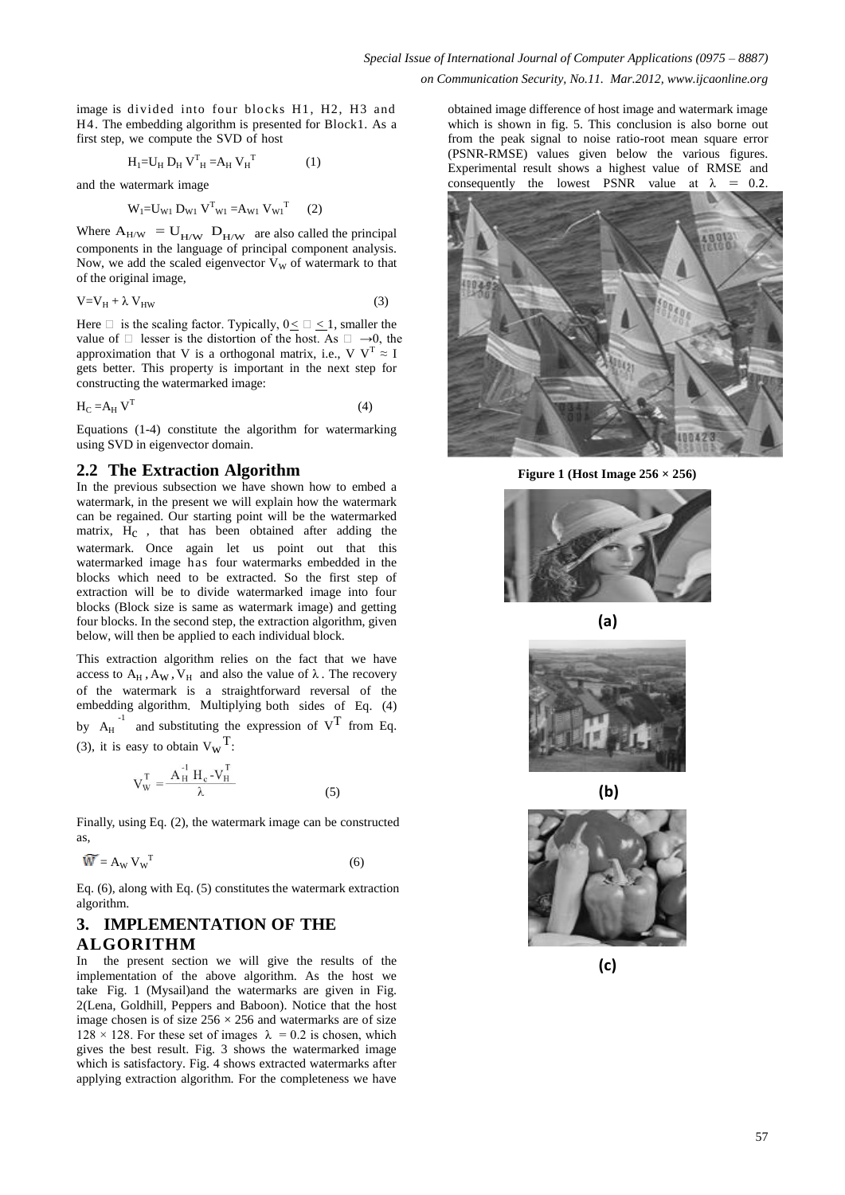image is divided into four blocks H1, H2, H3 and H4. The embedding algorithm is presented for Block1. As a first step, we compute the SVD of host

$$
H_1 = U_H D_H V_{H}^T = A_H V_{H}^T
$$
 (1)

and the watermark image

$$
W_1 = U_{W1} D_{W1} V^T_{W1} = A_{W1} V_{W1}^T
$$
 (2)

Where  $A_{H/W} = U_{H/W}$   $D_{H/W}$  are also called the principal components in the language of principal component analysis. Now, we add the scaled eigenvector  $V_{\rm w}$  of watermark to that of the original image,

$$
V = V_H + \lambda V_{HW}
$$
 (3)

Here  $\Box$  is the scaling factor. Typically,  $0 \le \Box \le 1$ , smaller the value of  $\Box$  lesser is the distortion of the host. As  $\Box \rightarrow 0$ , the approximation that V is a orthogonal matrix, i.e., V  $V^T \approx I$ gets better. This property is important in the next step for constructing the watermarked image:

$$
H_C = A_H V^T
$$
 (4)

Equations (1-4) constitute the algorithm for watermarking using SVD in eigenvector domain.

### **2.2 The Extraction Algorithm**

In the previous subsection we have shown how to embed a watermark, in the present we will explain how the watermark can be regained. Our starting point will be the watermarked matrix, H<sub>c</sub>, that has been obtained after adding the watermark. Once again let us point out that this watermarked image has four watermarks embedded in the blocks which need to be extracted. So the first step of extraction will be to divide watermarked image into four blocks (Block size is same as watermark image) and getting four blocks. In the second step, the extraction algorithm, given below, will then be applied to each individual block.

This extraction algorithm relies on the fact that we have access to  $A_H$ ,  $A_W$ ,  $V_H$  and also the value of  $\lambda$ . The recovery of the watermark is a straightforward reversal of the embedding algorithm. Multiplying both sides of Eq. (4) by  $A_H$ <sup>-1</sup> and substituting the expression of  $V^T$  from Eq. (3), it is easy to obtain  $V_w^T$ :

$$
V_{W}^{T} = \frac{A_{H}^{-1} H_{c} - V_{H}^{T}}{\lambda}
$$
 (5)

Finally, using Eq. (2), the watermark image can be constructed as,

$$
\widetilde{\mathbf{W}} = \mathbf{A}_{\mathbf{W}} \, \mathbf{V}_{\mathbf{W}}^{\mathrm{T}} \tag{6}
$$

Eq. (6), along with Eq. (5) constitutes the watermark extraction algorithm.

# **3. IMPLEMENTATION OF THE ALGORITHM**

In the present section we will give the results of the implementation of the above algorithm. As the host we take Fig. 1 (Mysail)and the watermarks are given in Fig. 2(Lena, Goldhill, Peppers and Baboon). Notice that the host image chosen is of size  $256 \times 256$  and watermarks are of size  $128 \times 128$ . For these set of images  $\lambda = 0.2$  is chosen, which gives the best result. Fig. 3 shows the watermarked image which is satisfactory. Fig. 4 shows extracted watermarks after applying extraction algorithm. For the completeness we have

obtained image difference of host image and watermark image which is shown in fig. 5. This conclusion is also borne out from the peak signal to noise ratio-root mean square error (PSNR-RMSE) values given below the various figures. Experimental result shows a highest value of RMSE and consequently the lowest PSNR value at  $\lambda = 0.2$ .



**Figure 1 (Host Image 256 × 256)**











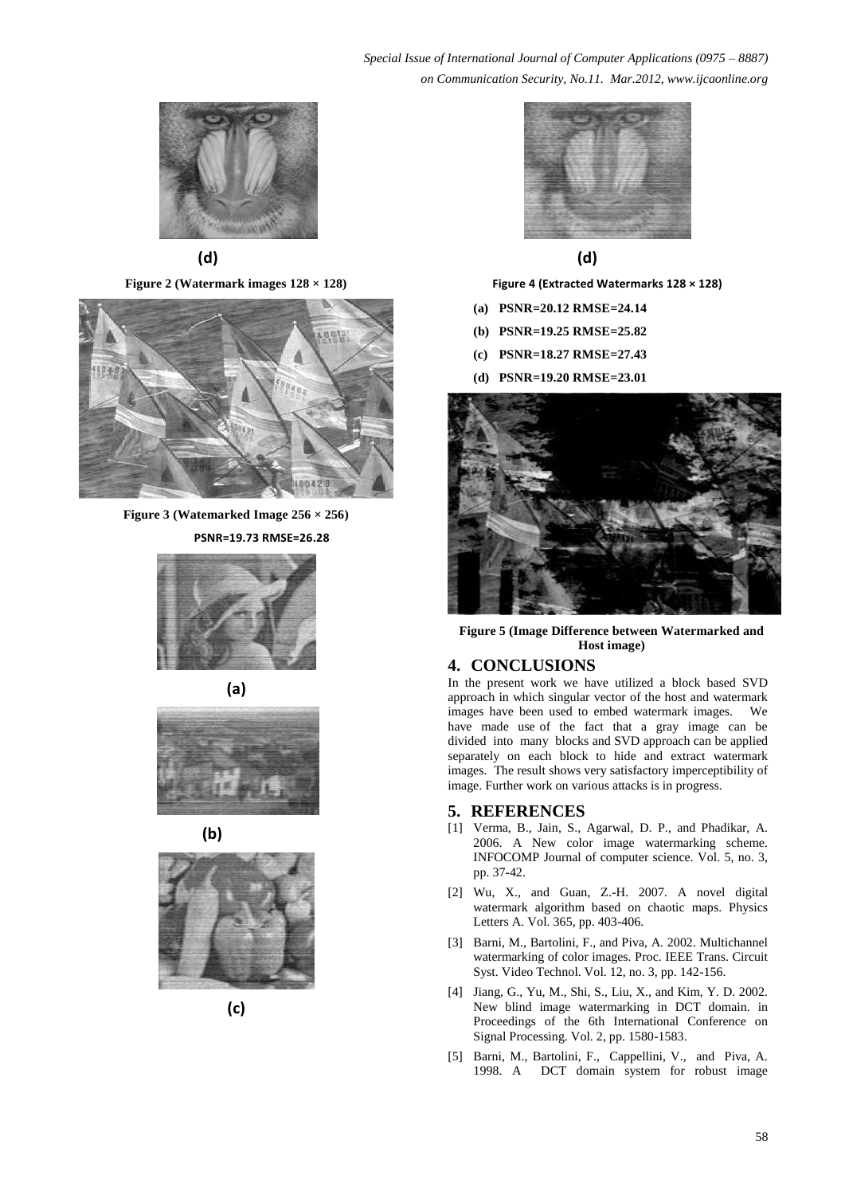**(d)**

**Figure 2 (Watermark images 128 × 128)**



**Figure 3 (Watemarked Image 256 × 256) PSNR=19.73 RMSE=26.28**

















 **(d)**

**Figure 4 (Extracted Watermarks 128 × 128)**

- **(a) PSNR=20.12 RMSE=24.14**
- **(b) PSNR=19.25 RMSE=25.82**
- **(c) PSNR=18.27 RMSE=27.43**
- **(d) PSNR=19.20 RMSE=23.01**



**Figure 5 (Image Difference between Watermarked and Host image)**

# **4. CONCLUSIONS**

In the present work we have utilized a block based SVD approach in which singular vector of the host and watermark images have been used to embed watermark images. We have made use of the fact that a gray image can be divided into many blocks and SVD approach can be applied separately on each block to hide and extract watermark images. The result shows very satisfactory imperceptibility of image. Further work on various attacks is in progress.

#### **5. REFERENCES**

- [1] Verma, B., Jain, S., Agarwal, D. P., and Phadikar, A. 2006. A New color image watermarking scheme. INFOCOMP Journal of computer science. Vol. 5, no. 3, pp. 37-42.
- [2] Wu, X., and Guan, Z.-H. 2007. A novel digital watermark algorithm based on chaotic maps. Physics Letters A. Vol. 365, pp. 403-406.
- [3] Barni, M., Bartolini, F., and Piva, A. 2002. Multichannel watermarking of color images. Proc. IEEE Trans. Circuit Syst. Video Technol. Vol. 12, no. 3, pp. 142-156.
- [4] Jiang, G., Yu, M., Shi, S., Liu, X., and Kim, Y. D. 2002. New blind image watermarking in DCT domain. in Proceedings of the 6th International Conference on Signal Processing. Vol. 2, pp. 1580-1583.
- [5] Barni, M., Bartolini, F., Cappellini, V., and Piva, A. 1998. A DCT domain system for robust image